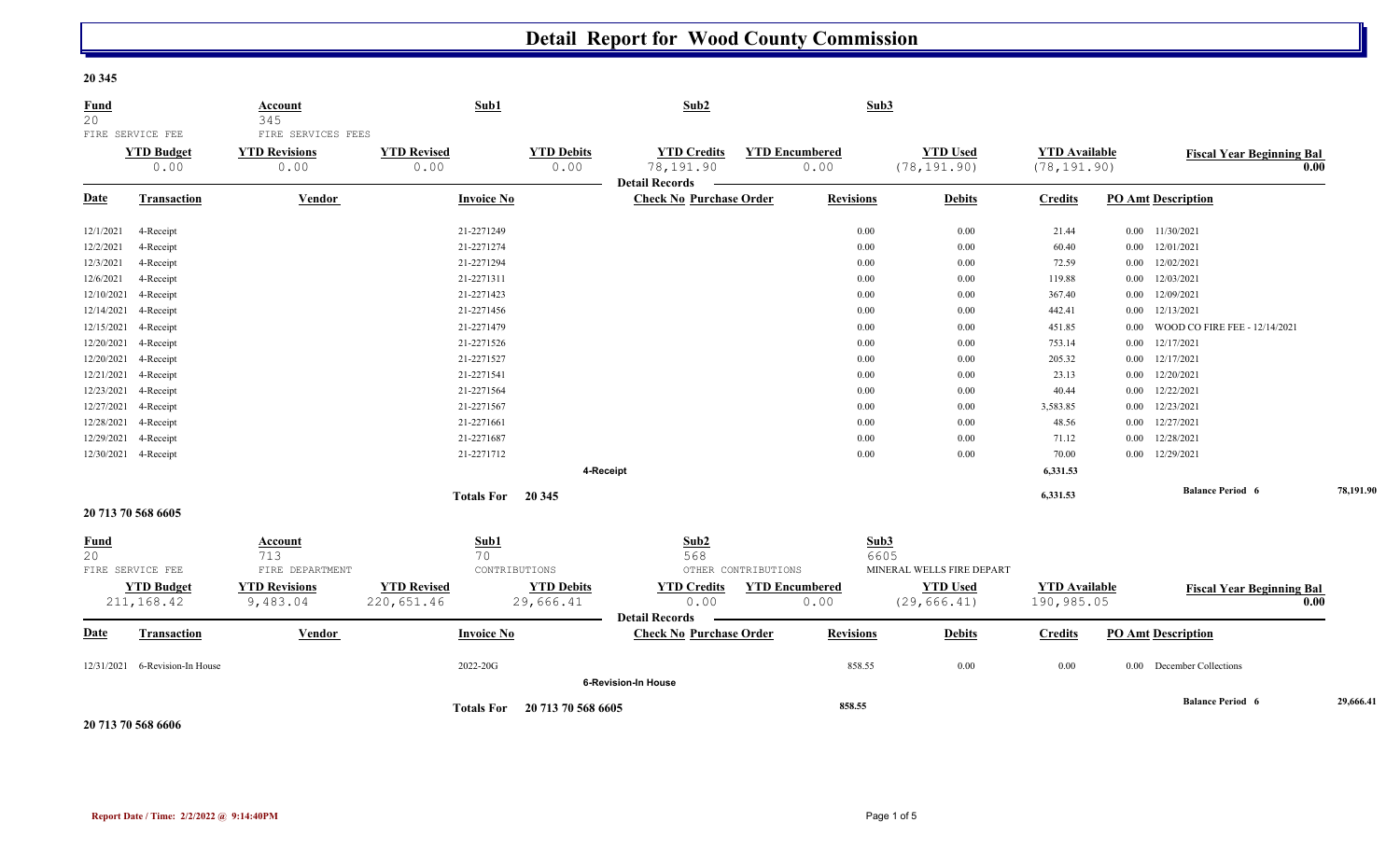## **20 345**

| Fund<br>20        |                                               | Account<br>345                                     | Sub1                             |                                | Sub2                                                     |                               | Sub3             |                                 |                                      |          |                                  |           |
|-------------------|-----------------------------------------------|----------------------------------------------------|----------------------------------|--------------------------------|----------------------------------------------------------|-------------------------------|------------------|---------------------------------|--------------------------------------|----------|----------------------------------|-----------|
|                   | FIRE SERVICE FEE<br><b>YTD Budget</b><br>0.00 | FIRE SERVICES FEES<br><b>YTD Revisions</b><br>0.00 | <b>YTD Revised</b><br>0.00       | <b>YTD Debits</b><br>0.00      | <b>YTD Credits</b><br>78,191.90<br><b>Detail Records</b> | <b>YTD Encumbered</b><br>0.00 |                  | <b>YTD Used</b><br>(78, 191.90) | <b>YTD Available</b><br>(78, 191.90) |          | <b>Fiscal Year Beginning Bal</b> | 0.00      |
| <b>Date</b>       | <b>Transaction</b>                            | <b>Vendor</b>                                      | <b>Invoice No</b>                |                                | <b>Check No Purchase Order</b>                           |                               | <b>Revisions</b> | <b>Debits</b>                   | <b>Credits</b>                       |          | <b>PO Amt Description</b>        |           |
| 12/1/2021         | 4-Receipt                                     |                                                    | 21-2271249                       |                                |                                                          |                               | 0.00             | 0.00                            | 21.44                                |          | $0.00$ $11/30/2021$              |           |
| 12/2/2021         | 4-Receipt                                     |                                                    | 21-2271274                       |                                |                                                          |                               | 0.00             | 0.00                            | 60.40                                |          | $0.00$ $12/01/2021$              |           |
| 12/3/2021         | 4-Receipt                                     |                                                    | 21-2271294                       |                                |                                                          |                               | 0.00             | $0.00\,$                        | 72.59                                | $0.00\,$ | 12/02/2021                       |           |
| 12/6/2021         | 4-Receipt                                     |                                                    | 21-2271311                       |                                |                                                          |                               | 0.00             | $0.00\,$                        | 119.88                               | $0.00\,$ | 12/03/2021                       |           |
| 12/10/2021        | 4-Receipt                                     |                                                    | 21-2271423                       |                                |                                                          |                               | 0.00             | 0.00                            | 367.40                               | 0.00     | 12/09/2021                       |           |
| 12/14/2021        | 4-Receipt                                     |                                                    | 21-2271456                       |                                |                                                          |                               | 0.00             | 0.00                            | 442.41                               | 0.00     | 12/13/2021                       |           |
| 12/15/2021        | 4-Receipt                                     |                                                    | 21-2271479                       |                                |                                                          |                               | 0.00             | $0.00\,$                        | 451.85                               | $0.00\,$ | WOOD CO FIRE FEE - 12/14/2021    |           |
|                   | 12/20/2021 4-Receipt                          |                                                    | 21-2271526                       |                                |                                                          |                               | 0.00             | 0.00                            | 753.14                               | $0.00\,$ | 12/17/2021                       |           |
|                   | 12/20/2021 4-Receipt                          |                                                    | 21-2271527                       |                                |                                                          |                               | 0.00             | 0.00                            | 205.32                               |          | $0.00$ $12/17/2021$              |           |
|                   | 12/21/2021 4-Receipt                          |                                                    | 21-2271541                       |                                |                                                          |                               | $0.00\,$         | 0.00                            | 23.13                                | $0.00\,$ | 12/20/2021                       |           |
|                   | 12/23/2021 4-Receipt                          |                                                    | 21-2271564                       |                                |                                                          |                               | 0.00             | 0.00                            | 40.44                                | $0.00\,$ | 12/22/2021                       |           |
|                   | 12/27/2021 4-Receipt                          |                                                    | 21-2271567                       |                                |                                                          |                               | 0.00             | 0.00                            | 3,583.85                             | $0.00\,$ | 12/23/2021                       |           |
|                   | 12/28/2021 4-Receipt                          |                                                    | 21-2271661                       |                                |                                                          |                               | 0.00             | 0.00                            | 48.56                                | $0.00\,$ | 12/27/2021                       |           |
| 12/29/2021        | 4-Receipt                                     |                                                    | 21-2271687                       |                                |                                                          |                               | 0.00             | $0.00\,$                        | 71.12                                | $0.00\,$ | 12/28/2021                       |           |
|                   | 12/30/2021 4-Receipt                          |                                                    | 21-2271712                       |                                |                                                          |                               | 0.00             | 0.00                            | 70.00                                | 0.00     | 12/29/2021                       |           |
|                   |                                               |                                                    |                                  |                                | 4-Receipt                                                |                               |                  |                                 | 6,331.53                             |          |                                  |           |
|                   | Totals For 20 345                             |                                                    |                                  |                                |                                                          |                               |                  |                                 | 6,331.53                             |          | <b>Balance Period 6</b>          | 78,191.90 |
|                   | 20 713 70 568 6605                            |                                                    |                                  |                                |                                                          |                               |                  |                                 |                                      |          |                                  |           |
| <b>Fund</b><br>20 | FIRE SERVICE FEE                              | <b>Account</b><br>713<br>FIRE DEPARTMENT           | Sub1<br>70                       | CONTRIBUTIONS                  | Sub2<br>568                                              | OTHER CONTRIBUTIONS           | Sub3<br>6605     | MINERAL WELLS FIRE DEPART       |                                      |          |                                  |           |
|                   | <b>YTD Budget</b><br>211, 168.42              | <b>YTD Revisions</b><br>9,483.04                   | <b>YTD Revised</b><br>220,651.46 | <b>YTD Debits</b><br>29,666.41 | <b>YTD Credits</b><br>0.00                               | <b>YTD Encumbered</b><br>0.00 |                  | <b>YTD Used</b><br>(29, 666.41) | <b>YTD Available</b><br>190,985.05   |          | <b>Fiscal Year Beginning Bal</b> | 0.00      |
| Date              | <b>Transaction</b>                            | Vendor                                             | <b>Invoice No</b>                |                                | <b>Detail Records</b><br><b>Check No Purchase Order</b>  |                               | <b>Revisions</b> | <b>Debits</b>                   | <b>Credits</b>                       |          | <b>PO Amt Description</b>        |           |
|                   | 12/31/2021 6-Revision-In House                |                                                    | 2022-20G                         |                                |                                                          |                               | 858.55           | 0.00                            | 0.00                                 |          | 0.00 December Collections        |           |
|                   |                                               |                                                    |                                  |                                | <b>6-Revision-In House</b>                               |                               |                  |                                 |                                      |          |                                  |           |
|                   |                                               |                                                    | <b>Totals For</b>                | 20 713 70 568 6605             |                                                          |                               | 858.55           |                                 |                                      |          | <b>Balance Period 6</b>          | 29,666.41 |

**20 713 70 568 6606**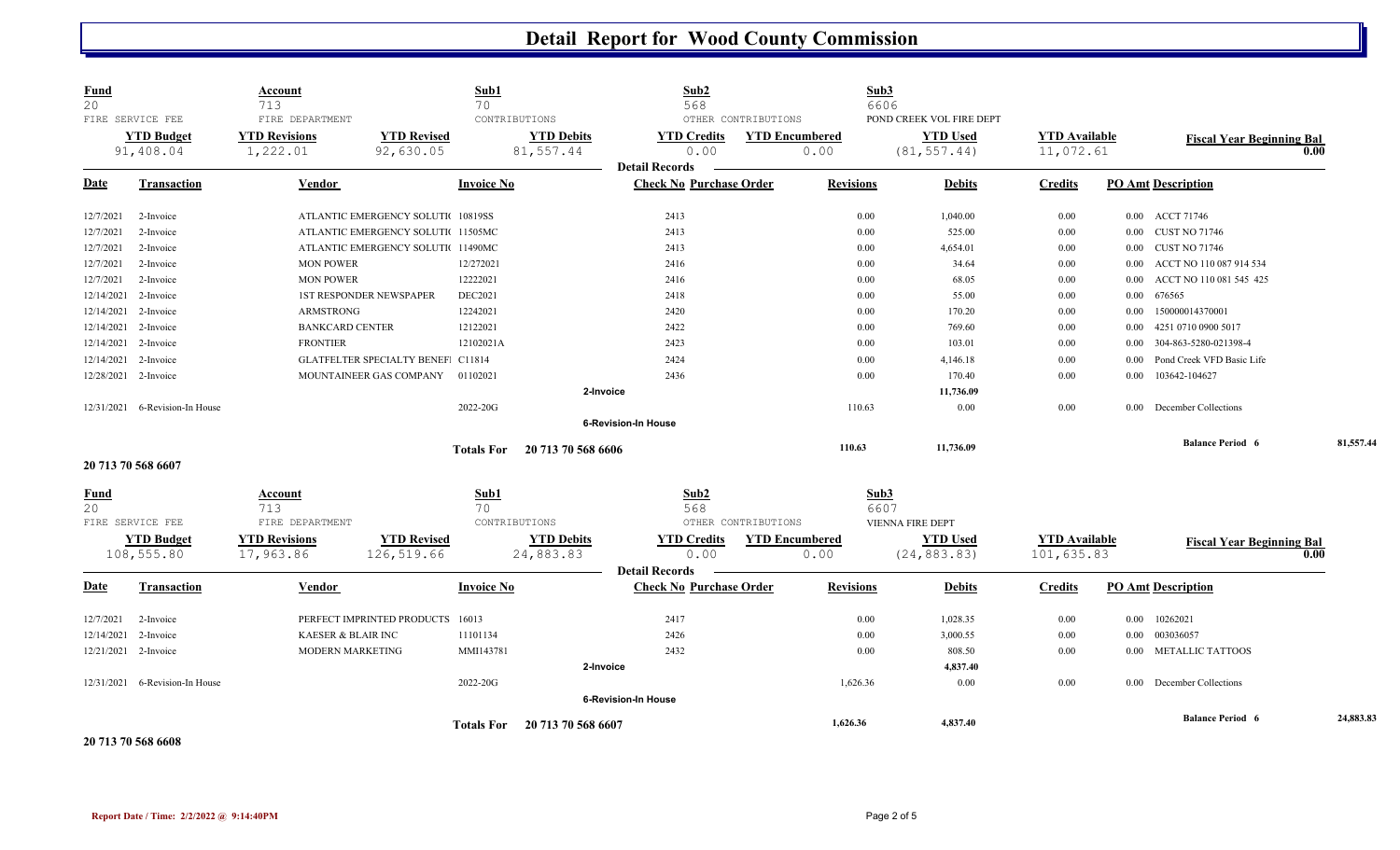| <b>Fund</b><br>20 | FIRE SERVICE FEE     | <b>Account</b><br>713<br>FIRE DEPARTMENT |                                    | Sub1<br>70<br>CONTRIBUTIONS |                    | Sub2<br>568                    | OTHER CONTRIBUTIONS | Sub3                  | 6606<br>POND CREEK VOL FIRE DEPT |                      |          |                                  |      |           |
|-------------------|----------------------|------------------------------------------|------------------------------------|-----------------------------|--------------------|--------------------------------|---------------------|-----------------------|----------------------------------|----------------------|----------|----------------------------------|------|-----------|
|                   | <b>YTD Budget</b>    | <b>YTD Revisions</b>                     | <b>YTD Revised</b>                 |                             | <b>YTD Debits</b>  | <b>YTD Credits</b>             |                     | <b>YTD Encumbered</b> | <b>YTD Used</b>                  | <b>YTD</b> Available |          | <b>Fiscal Year Beginning Bal</b> |      |           |
|                   | 91,408.04            | 1,222.01                                 | 92,630.05                          |                             | 81,557.44          | 0.00                           |                     | 0.00                  | (81, 557.44)                     | 11,072.61            |          |                                  | 0.00 |           |
|                   |                      |                                          |                                    |                             |                    | <b>Detail Records</b>          |                     |                       |                                  |                      |          |                                  |      |           |
| Date              | <b>Transaction</b>   | Vendor                                   |                                    | <b>Invoice No</b>           |                    | <b>Check No Purchase Order</b> |                     | <b>Revisions</b>      | <b>Debits</b>                    | <b>Credits</b>       |          | <b>PO Amt Description</b>        |      |           |
| 12/7/2021         | 2-Invoice            |                                          | ATLANTIC EMERGENCY SOLUTI 10819SS  |                             |                    | 2413                           |                     | 0.00                  | 1,040.00                         | $0.00\,$             |          | 0.00 ACCT 71746                  |      |           |
| 12/7/2021         | 2-Invoice            |                                          | ATLANTIC EMERGENCY SOLUTI 11505MC  |                             |                    | 2413                           |                     | 0.00                  | 525.00                           | $0.00\,$             | $0.00\,$ | <b>CUST NO 71746</b>             |      |           |
| 12/7/2021         | 2-Invoice            |                                          | ATLANTIC EMERGENCY SOLUTI 11490MC  |                             |                    | 2413                           |                     | 0.00                  | 4,654.01                         | $0.00\,$             | $0.00\,$ | <b>CUST NO 71746</b>             |      |           |
| 12/7/2021         | 2-Invoice            | <b>MON POWER</b>                         |                                    | 12/272021                   |                    | 2416                           |                     | 0.00                  | 34.64                            | $0.00\,$             | 0.00     | ACCT NO 110 087 914 534          |      |           |
| 12/7/2021         | 2-Invoice            | <b>MON POWER</b>                         |                                    | 12222021                    |                    | 2416                           |                     | 0.00                  | 68.05                            | $0.00\,$             | 0.00     | ACCT NO 110 081 545 425          |      |           |
| 12/14/2021        | 2-Invoice            |                                          | <b>1ST RESPONDER NEWSPAPER</b>     | DEC2021                     |                    | 2418                           |                     | 0.00                  | 55.00                            | $0.00\,$             | 0.00     | 676565                           |      |           |
| 12/14/2021        | 2-Invoice            | ARMSTRONG                                |                                    | 12242021                    |                    | 2420                           |                     | 0.00                  | 170.20                           | $0.00\,$             | 0.00     | 150000014370001                  |      |           |
| 12/14/2021        | 2-Invoice            | <b>BANKCARD CENTER</b>                   |                                    | 12122021                    |                    | 2422                           |                     | 0.00                  | 769.60                           | $0.00\,$             | 0.00     | 4251 0710 0900 5017              |      |           |
| 12/14/2021        | 2-Invoice            | <b>FRONTIER</b>                          |                                    | 12102021A                   |                    | 2423                           |                     | 0.00                  | 103.01                           | $0.00\,$             | 0.00     | 304-863-5280-021398-4            |      |           |
| 12/14/2021        | 2-Invoice            |                                          | GLATFELTER SPECIALTY BENEF. C11814 |                             |                    | 2424                           |                     | 0.00                  | 4,146.18                         | $0.00\,$             | 0.00     | Pond Creek VFD Basic Life        |      |           |
|                   | 12/28/2021 2-Invoice |                                          | MOUNTAINEER GAS COMPANY            | 01102021                    |                    | 2436                           |                     | 0.00                  | 170.40                           | 0.00                 | 0.00     | 103642-104627                    |      |           |
|                   |                      |                                          |                                    |                             | 2-Invoice          |                                |                     |                       | 11,736.09                        |                      |          |                                  |      |           |
| 12/31/2021        | 6-Revision-In House  |                                          |                                    | 2022-20G                    |                    |                                |                     | 110.63                | 0.00                             | $0.00\,$             | 0.00     | December Collections             |      |           |
|                   |                      |                                          |                                    |                             |                    | 6-Revision-In House            |                     |                       |                                  |                      |          |                                  |      |           |
|                   |                      |                                          |                                    | <b>Totals For</b>           | 20 713 70 568 6606 |                                |                     | 110.63                | 11,736.09                        |                      |          | <b>Balance Period 6</b>          |      | 81,557.44 |
|                   | 20 713 70 568 6607   |                                          |                                    |                             |                    |                                |                     |                       |                                  |                      |          |                                  |      |           |
| <b>Fund</b><br>20 |                      | <b>Account</b><br>713                    |                                    | Sub1<br>70                  |                    | Sub2<br>568                    |                     | Sub3                  | 6607                             |                      |          |                                  |      |           |
|                   | FIRE SERVICE FEE     | FIRE DEPARTMENT                          |                                    | CONTRIBUTIONS               |                    |                                | OTHER CONTRIBUTIONS |                       | VIENNA FIRE DEPT                 |                      |          |                                  |      |           |
|                   | <b>YTD Budget</b>    | <b>YTD Revisions</b>                     | <b>YTD Revised</b>                 |                             | <b>YTD Debits</b>  | <b>YTD Credits</b>             |                     | <b>YTD Encumbered</b> | <b>YTD Used</b>                  | <b>YTD</b> Available |          | <b>Fiscal Year Beginning Bal</b> |      |           |
|                   | 108,555.80           | 17,963.86                                | 126,519.66                         |                             | 24,883.83          | 0.00                           |                     | 0.00                  | (24, 883.83)                     | 101,635.83           |          |                                  | 0.00 |           |
|                   |                      |                                          |                                    |                             |                    | <b>Detail Records</b>          |                     |                       |                                  |                      |          |                                  |      |           |
| Date              | <b>Transaction</b>   | Vendor                                   |                                    | <b>Invoice No</b>           |                    | <b>Check No Purchase Order</b> |                     | <b>Revisions</b>      | <b>Debits</b>                    | <b>Credits</b>       |          | <b>PO Amt Description</b>        |      |           |
| 12/7/2021         | 2-Invoice            |                                          | PERFECT IMPRINTED PRODUCTS 16013   |                             |                    | 2417                           |                     | 0.00                  | 1,028.35                         | 0.00                 | 0.00     | 10262021                         |      |           |
| 12/14/2021        | 2-Invoice            | KAESER & BLAIR INC                       |                                    | 11101134                    |                    | 2426                           |                     | 0.00                  | 3,000.55                         | $0.00\,$             | 0.00     | 003036057                        |      |           |
|                   | 12/21/2021 2-Invoice | <b>MODERN MARKETING</b>                  |                                    | MMI143781                   |                    | 2432                           |                     | 0.00                  | 808.50                           | 0.00                 | 0.00     | <b>METALLIC TATTOOS</b>          |      |           |
|                   |                      |                                          |                                    |                             | 2-Invoice          |                                |                     |                       | 4,837.40                         |                      |          |                                  |      |           |
| 12/31/2021        | 6-Revision-In House  |                                          |                                    | 2022-20G                    |                    |                                |                     | 1,626.36              | 0.00                             | $0.00\,$             | 0.00     | December Collections             |      |           |
|                   |                      |                                          |                                    |                             |                    | 6-Revision-In House            |                     |                       |                                  |                      |          |                                  |      |           |
|                   |                      |                                          |                                    | <b>Totals For</b>           | 20 713 70 568 6607 |                                |                     | 1,626.36              | 4,837.40                         |                      |          | <b>Balance Period 6</b>          |      | 24,883.83 |
|                   | 20 713 70 568 6608   |                                          |                                    |                             |                    |                                |                     |                       |                                  |                      |          |                                  |      |           |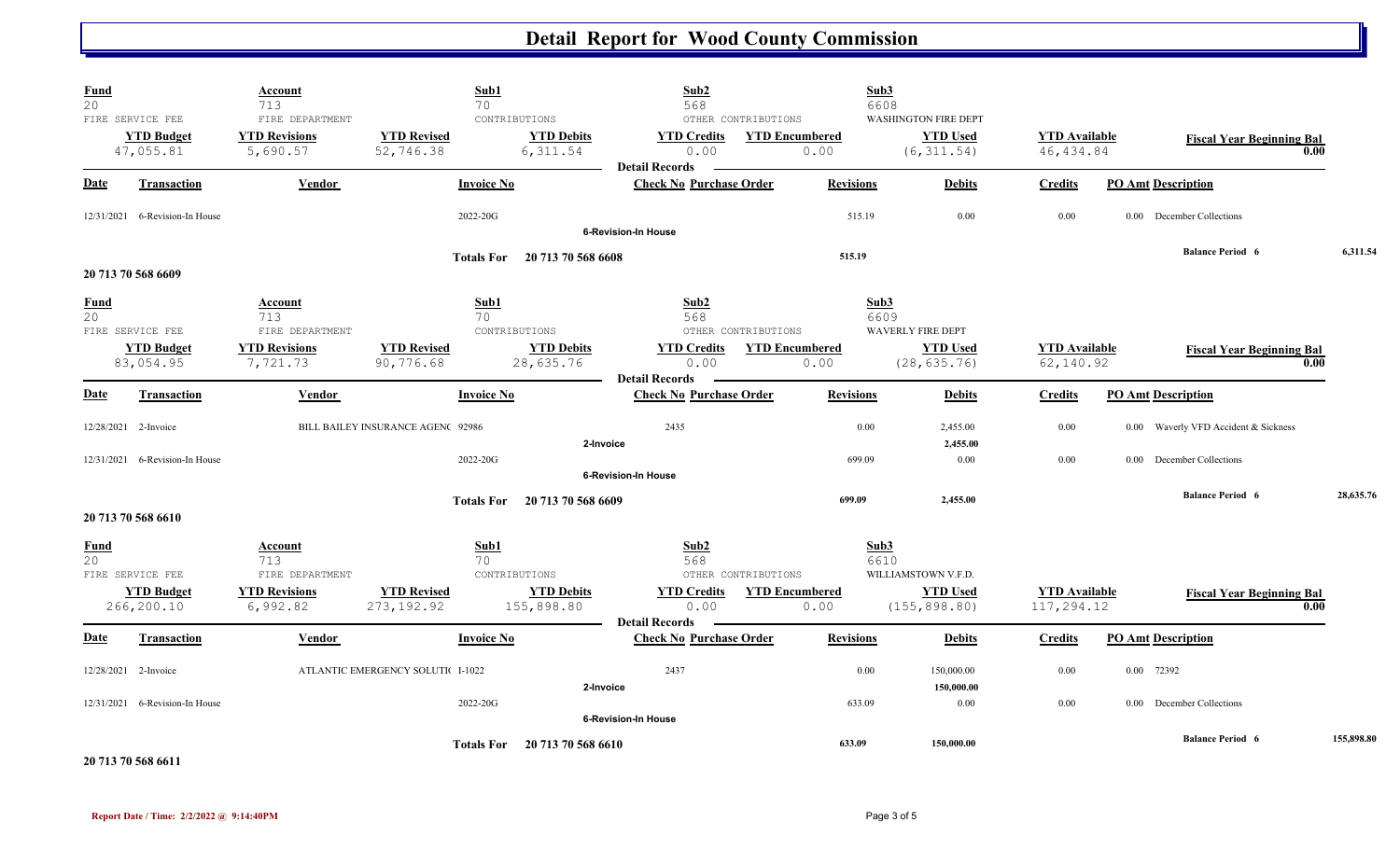| <b>Fund</b><br>20 |                                                    | <b>Account</b><br>713<br>FIRE DEPARTMENT                  | Sub1<br>70                        |                                                | Sub <sub>2</sub><br>568                             |                                                      | Sub3<br>6608     | <b>WASHINGTON FIRE DEPT</b>                 |                                    |                                      |                                          |            |
|-------------------|----------------------------------------------------|-----------------------------------------------------------|-----------------------------------|------------------------------------------------|-----------------------------------------------------|------------------------------------------------------|------------------|---------------------------------------------|------------------------------------|--------------------------------------|------------------------------------------|------------|
|                   | FIRE SERVICE FEE<br><b>YTD Budget</b><br>47,055.81 | <b>YTD Revisions</b><br>5,690.57                          | <b>YTD Revised</b><br>52,746.38   | CONTRIBUTIONS<br><b>YTD Debits</b><br>6,311.54 | <b>YTD Credits</b><br>0.00<br><b>Detail Records</b> | OTHER CONTRIBUTIONS<br><b>YTD Encumbered</b><br>0.00 |                  | <b>YTD Used</b><br>(6, 311.54)              | <b>YTD</b> Available<br>46, 434.84 |                                      | <b>Fiscal Year Beginning Bal</b><br>0.00 |            |
| Date              | Transaction                                        | Vendor                                                    | <b>Invoice No</b>                 |                                                | <b>Check No Purchase Order</b>                      |                                                      | <b>Revisions</b> | <b>Debits</b>                               | <b>Credits</b>                     | <b>PO Amt Description</b>            |                                          |            |
|                   | 12/31/2021 6-Revision-In House                     |                                                           | 2022-20G                          |                                                | <b>6-Revision-In House</b>                          |                                                      | 515.19           | 0.00                                        | 0.00                               | 0.00 December Collections            |                                          |            |
|                   | 20 713 70 568 6609                                 |                                                           | <b>Totals For</b>                 | 20 713 70 568 6608                             |                                                     |                                                      | 515.19           |                                             |                                    | <b>Balance Period 6</b>              |                                          | 6,311.54   |
| <b>Fund</b><br>20 | FIRE SERVICE FEE<br><b>YTD Budget</b>              | Account<br>713<br>FIRE DEPARTMENT<br><b>YTD Revisions</b> | Sub1<br>70<br><b>YTD Revised</b>  | CONTRIBUTIONS<br><b>YTD Debits</b>             | Sub2<br>568<br><b>YTD Credits</b>                   | OTHER CONTRIBUTIONS<br><b>YTD Encumbered</b>         | Sub3<br>6609     | <b>WAVERLY FIRE DEPT</b><br><b>YTD Used</b> | <b>YTD</b> Available               |                                      |                                          |            |
|                   | 83,054.95                                          | 7,721.73                                                  | 90,776.68                         | 28,635.76                                      | 0.00<br><b>Detail Records</b>                       | 0.00                                                 |                  | (28, 635.76)                                | 62,140.92                          |                                      | <b>Fiscal Year Beginning Bal</b><br>0.00 |            |
| <b>Date</b>       | Transaction                                        | Vendor                                                    | <b>Invoice No</b>                 |                                                | <b>Check No Purchase Order</b>                      |                                                      | <b>Revisions</b> | <b>Debits</b>                               | <b>Credits</b>                     | <b>PO Amt Description</b>            |                                          |            |
|                   | 12/28/2021 2-Invoice                               |                                                           | BILL BAILEY INSURANCE AGEN( 92986 | 2-Invoice                                      | 2435                                                |                                                      | 0.00             | 2,455.00<br>2,455.00                        | 0.00                               | 0.00 Waverly VFD Accident & Sickness |                                          |            |
|                   | $12/31/2021$ 6-Revision-In House                   |                                                           | 2022-20G                          |                                                | <b>6-Revision-In House</b>                          |                                                      | 699.09           | 0.00                                        | 0.00                               | December Collections<br>$0.00 -$     |                                          |            |
|                   | 20 713 70 568 6610                                 |                                                           | <b>Totals For</b>                 | 20 713 70 568 6609                             |                                                     |                                                      | 699.09           | 2,455.00                                    |                                    | <b>Balance Period 6</b>              |                                          | 28,635.76  |
| <b>Fund</b><br>20 | FIRE SERVICE FEE                                   | Account<br>713<br>FIRE DEPARTMENT                         | Sub1<br>70                        | CONTRIBUTIONS                                  | Sub2<br>568                                         | OTHER CONTRIBUTIONS                                  | Sub3<br>6610     | WILLIAMSTOWN V.F.D.                         |                                    |                                      |                                          |            |
|                   | <b>YTD Budget</b><br>266,200.10                    | <b>YTD Revisions</b><br>6,992.82                          | <b>YTD Revised</b><br>273, 192.92 | <b>YTD Debits</b><br>155,898.80                | <b>YTD Credits</b><br>0.00<br><b>Detail Records</b> | <b>YTD Encumbered</b><br>0.00                        |                  | <b>YTD Used</b><br>(155, 898.80)            | <b>YTD Available</b><br>117,294.12 |                                      | <b>Fiscal Year Beginning Bal</b><br>0.00 |            |
| <u>Date</u>       | <b>Transaction</b>                                 | Vendor                                                    | <b>Invoice No</b>                 |                                                | <b>Check No Purchase Order</b>                      |                                                      | <b>Revisions</b> | <b>Debits</b>                               | <b>Credits</b>                     | <b>PO Amt Description</b>            |                                          |            |
|                   | 12/28/2021 2-Invoice                               |                                                           | ATLANTIC EMERGENCY SOLUTIC I-1022 | 2-Invoice                                      | 2437                                                |                                                      | 0.00             | 150,000.00<br>150,000.00                    | 0.00                               | 0.00 72392                           |                                          |            |
|                   | 12/31/2021 6-Revision-In House                     |                                                           | 2022-20G                          |                                                | 6-Revision-In House                                 |                                                      | 633.09           | 0.00                                        | 0.00                               | 0.00 December Collections            |                                          |            |
|                   | .                                                  |                                                           |                                   | Totals For 20 713 70 568 6610                  |                                                     |                                                      | 633.09           | 150,000.00                                  |                                    | <b>Balance Period 6</b>              |                                          | 155,898.80 |

**20 713 70 568 6611**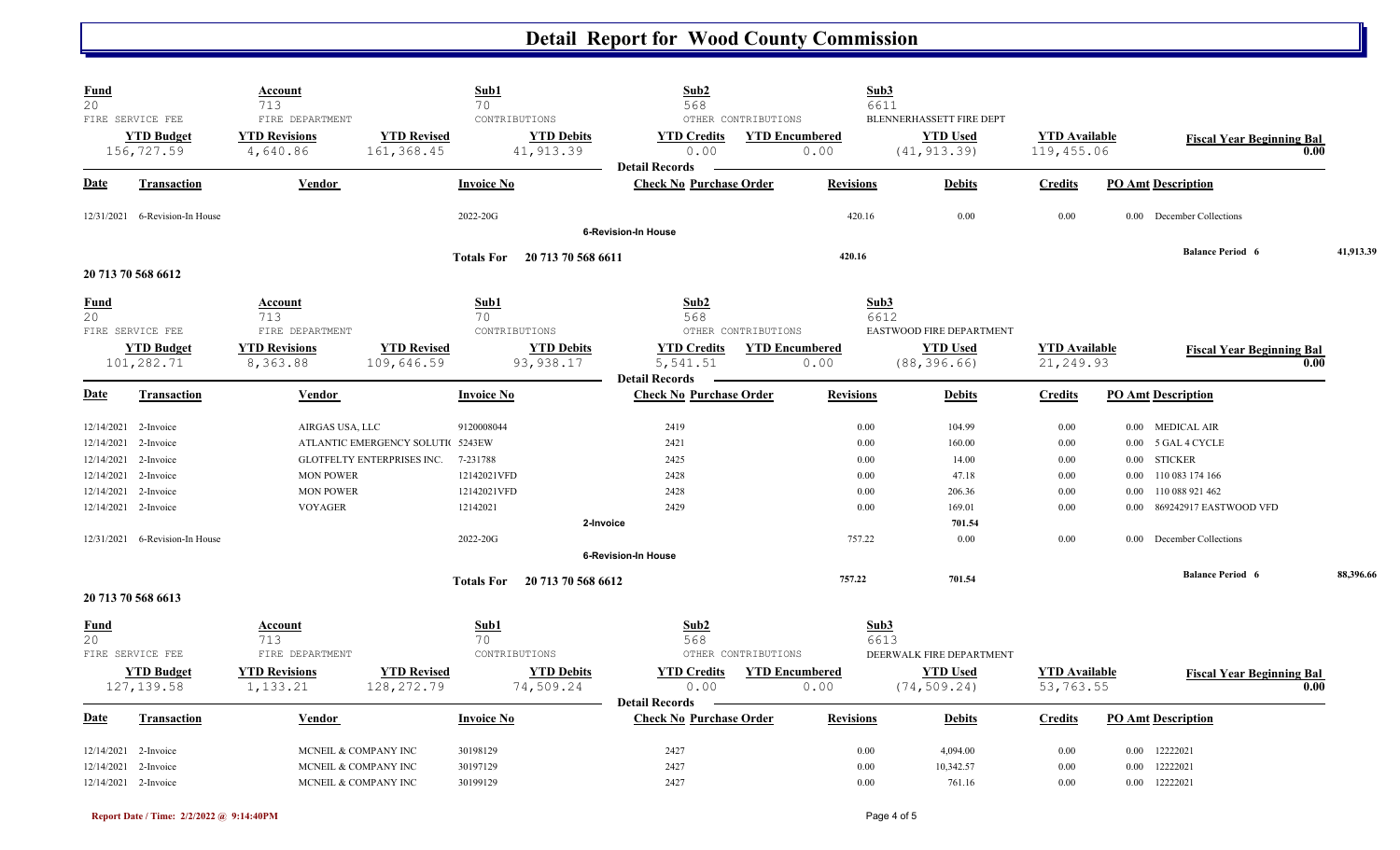| Fund<br>20                                       |                                                             | Account<br>713                                                       |                                                                | Sub1<br>70                            |                                 | Sub2<br>568                                             |                                                      | Sub3<br>6611                 |                                                             |                                    |                  |                                                                             |      |           |
|--------------------------------------------------|-------------------------------------------------------------|----------------------------------------------------------------------|----------------------------------------------------------------|---------------------------------------|---------------------------------|---------------------------------------------------------|------------------------------------------------------|------------------------------|-------------------------------------------------------------|------------------------------------|------------------|-----------------------------------------------------------------------------|------|-----------|
|                                                  | FIRE SERVICE FEE<br><b>YTD Budget</b><br>156,727.59         | FIRE DEPARTMENT<br><b>YTD Revisions</b><br>4,640.86                  | <b>YTD Revised</b><br>161,368.45                               | CONTRIBUTIONS                         | <b>YTD Debits</b><br>41, 913.39 | <b>YTD Credits</b><br>0.00                              | OTHER CONTRIBUTIONS<br><b>YTD Encumbered</b><br>0.00 |                              | BLENNERHASSETT FIRE DEPT<br><b>YTD Used</b><br>(41, 913.39) | <b>YTD Available</b><br>119,455.06 |                  | <b>Fiscal Year Beginning Bal</b>                                            | 0.00 |           |
| Date                                             | <b>Transaction</b>                                          | <b>Vendor</b>                                                        |                                                                | <b>Invoice No</b>                     |                                 | <b>Detail Records</b><br><b>Check No Purchase Order</b> |                                                      | <b>Revisions</b>             | <b>Debits</b>                                               | <b>Credits</b>                     |                  | <b>PO Amt Description</b>                                                   |      |           |
|                                                  | 12/31/2021 6-Revision-In House                              |                                                                      |                                                                | 2022-20G                              |                                 | <b>6-Revision-In House</b>                              |                                                      | 420.16                       | 0.00                                                        | 0.00                               |                  | 0.00 December Collections                                                   |      |           |
|                                                  | 20 713 70 568 6612                                          |                                                                      |                                                                | <b>Totals For</b>                     | 20 713 70 568 6611              |                                                         |                                                      | 420.16                       |                                                             |                                    |                  | <b>Balance Period 6</b>                                                     |      | 41,913.39 |
| <b>Fund</b><br>20                                |                                                             | Account<br>713                                                       |                                                                | Sub1<br>70                            |                                 | Sub2<br>568                                             |                                                      | Sub3<br>6612                 |                                                             |                                    |                  |                                                                             |      |           |
|                                                  | FIRE SERVICE FEE<br><b>YTD Budget</b><br>101,282.71         | FIRE DEPARTMENT<br><b>YTD Revisions</b><br>8,363.88                  | <b>YTD Revised</b><br>109,646.59                               | CONTRIBUTIONS                         | <b>YTD Debits</b><br>93, 938.17 | <b>YTD Credits</b><br>5,541.51                          | OTHER CONTRIBUTIONS<br><b>YTD Encumbered</b><br>0.00 |                              | EASTWOOD FIRE DEPARTMENT<br><b>YTD Used</b><br>(88, 396.66) | <b>YTD Available</b><br>21,249.93  |                  | <b>Fiscal Year Beginning Bal</b>                                            | 0.00 |           |
| Date                                             | <b>Transaction</b>                                          | <b>Vendor</b>                                                        |                                                                | <b>Invoice No</b>                     |                                 | <b>Detail Records</b><br><b>Check No Purchase Order</b> |                                                      | <b>Revisions</b>             | <b>Debits</b>                                               | <b>Credits</b>                     |                  | <b>PO Amt Description</b>                                                   |      |           |
| 12/14/2021<br>12/14/2021<br>12/14/2021           | 12/14/2021 2-Invoice<br>2-Invoice<br>2-Invoice<br>2-Invoice | AIRGAS USA, LLC<br><b>MON POWER</b>                                  | ATLANTIC EMERGENCY SOLUTI 5243EW<br>GLOTFELTY ENTERPRISES INC. | 9120008044<br>7-231788<br>12142021VFD |                                 | 2419<br>2421<br>2425<br>2428                            |                                                      | 0.00<br>0.00<br>0.00<br>0.00 | 104.99<br>160.00<br>14.00<br>47.18                          | 0.00<br>0.00<br>0.00<br>0.00       | 0.00<br>$0.00\,$ | 0.00 MEDICAL AIR<br>0.00 5 GAL 4 CYCLE<br><b>STICKER</b><br>110 083 174 166 |      |           |
| 12/14/2021<br>12/14/2021                         | 2-Invoice<br>2-Invoice                                      | <b>MON POWER</b><br><b>VOYAGER</b>                                   |                                                                | 12142021VFD<br>12142021               | 2-Invoice                       | 2428<br>2429                                            |                                                      | 0.00<br>0.00                 | 206.36<br>169.01<br>701.54                                  | 0.00<br>$0.00\,$                   | 0.00<br>$0.00\,$ | 110 088 921 462<br>869242917 EASTWOOD VFD                                   |      |           |
|                                                  | 12/31/2021 6-Revision-In House                              |                                                                      |                                                                | 2022-20G                              |                                 | <b>6-Revision-In House</b>                              |                                                      | 757.22                       | 0.00                                                        | 0.00                               | 0.00             | December Collections                                                        |      |           |
|                                                  | 20 713 70 568 6613                                          |                                                                      |                                                                | <b>Totals For</b>                     | 20 713 70 568 6612              |                                                         |                                                      | 757.22                       | 701.54                                                      |                                    |                  | <b>Balance Period 6</b>                                                     |      | 88,396.66 |
| <b>Fund</b><br>20                                | FIRE SERVICE FEE                                            | <u>Account</u><br>713<br>FIRE DEPARTMENT                             |                                                                | Sub1<br>70<br>CONTRIBUTIONS           |                                 | Sub2<br>568                                             | OTHER CONTRIBUTIONS                                  | Sub3<br>6613                 | DEERWALK FIRE DEPARTMENT                                    |                                    |                  |                                                                             |      |           |
|                                                  | <b>YTD Budget</b><br>127, 139.58                            | <b>YTD Revisions</b><br>1,133.21                                     | <b>YTD Revised</b><br>128,272.79                               |                                       | <b>YTD Debits</b><br>74,509.24  | <b>YTD Credits</b><br>0.00<br><b>Detail Records</b>     | <b>YTD Encumbered</b><br>0.00                        |                              | <b>YTD Used</b><br>(74, 509.24)                             | <b>YTD Available</b><br>53,763.55  |                  | <b>Fiscal Year Beginning Bal</b>                                            | 0.00 |           |
| Date                                             | <b>Transaction</b>                                          | Vendor                                                               |                                                                | <b>Invoice No</b>                     |                                 | <b>Check No Purchase Order</b>                          |                                                      | <b>Revisions</b>             | <b>Debits</b>                                               | <b>Credits</b>                     |                  | <b>PO Amt Description</b>                                                   |      |           |
| 12/14/2021<br>12/14/2021<br>12/14/2021 2-Invoice | 2-Invoice<br>2-Invoice                                      | MCNEIL & COMPANY INC<br>MCNEIL & COMPANY INC<br>MCNEIL & COMPANY INC |                                                                | 30198129<br>30197129<br>30199129      |                                 | 2427<br>2427<br>2427                                    |                                                      | 0.00<br>0.00<br>0.00         | 4,094.00<br>10,342.57<br>761.16                             | 0.00<br>0.00<br>0.00               | $0.00\,$<br>0.00 | 12222021<br>12222021<br>0.00 12222021                                       |      |           |